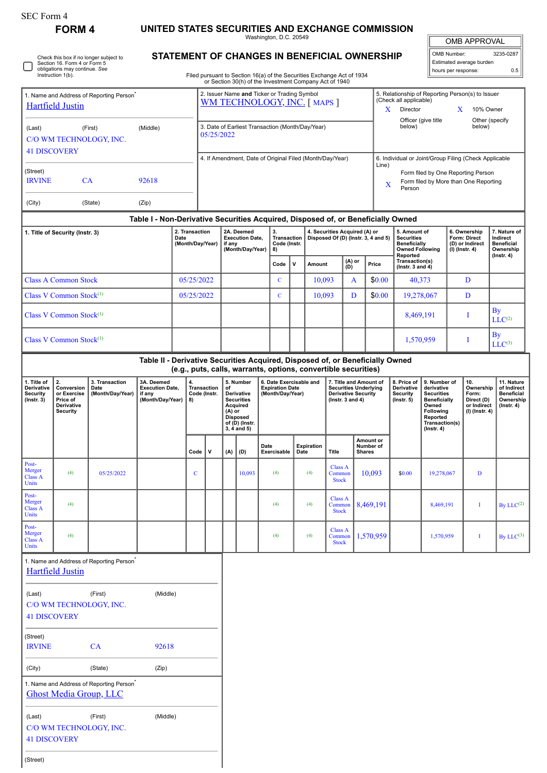**FORM 4 UNITED STATES SECURITIES AND EXCHANGE COMMISSION**

Washington, D.C. 20549

OMB APPROVAL

 $\sqrt{ }$ 

| OMB Number:              | 3235-0287 |  |  |  |  |  |
|--------------------------|-----------|--|--|--|--|--|
| Estimated average burden |           |  |  |  |  |  |
| hours per response:      | 0.5       |  |  |  |  |  |

|  | Check this box if no longer subject to<br>Section 16. Form 4 or Form 5<br>obligations may continue. See<br>Instruction 1(b). |
|--|------------------------------------------------------------------------------------------------------------------------------|
|--|------------------------------------------------------------------------------------------------------------------------------|

## **STATEMENT OF CHANGES IN BENEFICIAL OWNERSHIP**

Filed pursuant to Section 16(a) of the Securities Exchange Act of 1934 or Section 30(h) of the Investment Company Act of 1940

| 1. Name and Address of Reporting Person <sup>®</sup><br><b>Hartfield Justin</b>                                                           |                                     |                                                                                       |                                                                                  | 2. Issuer Name and Ticker or Trading Symbol<br><b>WM TECHNOLOGY, INC.</b> [MAPS ]                         |                                                          |                                                                                                                                       |                                                                    |                     |                                                                       |             |                                                                      |                                          |                                                                                                              | 5. Relationship of Reporting Person(s) to Issuer<br>(Check all applicable)<br>Director<br>$\mathbf{X}$<br>X<br>10% Owner<br>Officer (give title<br>Other (specify |                                                                  |                                                                                                                                                       |  |                                                                          |                                                                                 |  |  |
|-------------------------------------------------------------------------------------------------------------------------------------------|-------------------------------------|---------------------------------------------------------------------------------------|----------------------------------------------------------------------------------|-----------------------------------------------------------------------------------------------------------|----------------------------------------------------------|---------------------------------------------------------------------------------------------------------------------------------------|--------------------------------------------------------------------|---------------------|-----------------------------------------------------------------------|-------------|----------------------------------------------------------------------|------------------------------------------|--------------------------------------------------------------------------------------------------------------|-------------------------------------------------------------------------------------------------------------------------------------------------------------------|------------------------------------------------------------------|-------------------------------------------------------------------------------------------------------------------------------------------------------|--|--------------------------------------------------------------------------|---------------------------------------------------------------------------------|--|--|
| (Middle)<br>(Last)<br>(First)<br>C/O WM TECHNOLOGY, INC.<br><b>41 DISCOVERY</b>                                                           |                                     |                                                                                       |                                                                                  |                                                                                                           |                                                          | 3. Date of Earliest Transaction (Month/Day/Year)<br>05/25/2022                                                                        |                                                                    |                     |                                                                       |             |                                                                      |                                          |                                                                                                              |                                                                                                                                                                   | below)<br>below)                                                 |                                                                                                                                                       |  |                                                                          |                                                                                 |  |  |
|                                                                                                                                           |                                     |                                                                                       |                                                                                  |                                                                                                           | 4. If Amendment, Date of Original Filed (Month/Day/Year) |                                                                                                                                       |                                                                    |                     |                                                                       |             |                                                                      |                                          | Line)                                                                                                        | 6. Individual or Joint/Group Filing (Check Applicable                                                                                                             |                                                                  |                                                                                                                                                       |  |                                                                          |                                                                                 |  |  |
| (Street)<br><b>IRVINE</b>                                                                                                                 | CA                                  |                                                                                       | 92618                                                                            |                                                                                                           |                                                          |                                                                                                                                       |                                                                    |                     |                                                                       |             |                                                                      |                                          | Form filed by One Reporting Person<br>Form filed by More than One Reporting<br>X<br>Person                   |                                                                                                                                                                   |                                                                  |                                                                                                                                                       |  |                                                                          |                                                                                 |  |  |
| (City)                                                                                                                                    |                                     | (State)                                                                               | (Zip)                                                                            |                                                                                                           |                                                          |                                                                                                                                       |                                                                    |                     |                                                                       |             |                                                                      |                                          |                                                                                                              |                                                                                                                                                                   |                                                                  |                                                                                                                                                       |  |                                                                          |                                                                                 |  |  |
|                                                                                                                                           |                                     |                                                                                       | Table I - Non-Derivative Securities Acquired, Disposed of, or Beneficially Owned |                                                                                                           |                                                          |                                                                                                                                       |                                                                    |                     |                                                                       |             |                                                                      |                                          |                                                                                                              |                                                                                                                                                                   |                                                                  |                                                                                                                                                       |  |                                                                          |                                                                                 |  |  |
|                                                                                                                                           | 1. Title of Security (Instr. 3)     |                                                                                       |                                                                                  | 2. Transaction<br>Date                                                                                    | (Month/Day/Year)                                         |                                                                                                                                       | 2A. Deemed<br><b>Execution Date,</b><br>if any<br>(Month/Day/Year) |                     | 3.<br>Transaction<br>Code (Instr.<br>8)                               |             | 4. Securities Acquired (A) or<br>Disposed Of (D) (Instr. 3, 4 and 5) |                                          |                                                                                                              |                                                                                                                                                                   | Reported                                                         | 5. Amount of<br><b>Securities</b><br><b>Beneficially</b><br><b>Owned Following</b>                                                                    |  | 6. Ownership<br>Form: Direct<br>(D) or Indirect<br>$(I)$ (lnstr. 4)      | 7. Nature of<br>Indirect<br><b>Beneficial</b><br>Ownership<br>$($ Instr. 4 $)$  |  |  |
|                                                                                                                                           |                                     |                                                                                       |                                                                                  |                                                                                                           |                                                          |                                                                                                                                       |                                                                    |                     | Code                                                                  | $\mathbf v$ | Amount                                                               | (A) or<br>(D)                            |                                                                                                              | Price                                                                                                                                                             | Transaction(s)<br>(Instr. 3 and 4)                               |                                                                                                                                                       |  |                                                                          |                                                                                 |  |  |
|                                                                                                                                           | <b>Class A Common Stock</b>         |                                                                                       |                                                                                  | 05/25/2022                                                                                                |                                                          |                                                                                                                                       |                                                                    | $\mathbf{C}$        |                                                                       | 10,093      |                                                                      | A                                        | \$0.00                                                                                                       | 40.373                                                                                                                                                            |                                                                  | D                                                                                                                                                     |  |                                                                          |                                                                                 |  |  |
|                                                                                                                                           | Class V Common Stock <sup>(1)</sup> |                                                                                       |                                                                                  |                                                                                                           | 05/25/2022                                               |                                                                                                                                       |                                                                    | $\mathbf{C}$        |                                                                       | 10,093      |                                                                      | D                                        | \$0.00                                                                                                       | 19,278,067                                                                                                                                                        |                                                                  | D                                                                                                                                                     |  |                                                                          |                                                                                 |  |  |
| Class V Common Stock $(1)$                                                                                                                |                                     |                                                                                       |                                                                                  |                                                                                                           |                                                          |                                                                                                                                       |                                                                    |                     |                                                                       |             |                                                                      |                                          |                                                                                                              | 8,469,191                                                                                                                                                         |                                                                  | I                                                                                                                                                     |  | <b>By</b><br>LLC <sup>(2)</sup>                                          |                                                                                 |  |  |
|                                                                                                                                           | Class V Common Stock $(1)$          |                                                                                       |                                                                                  |                                                                                                           |                                                          |                                                                                                                                       |                                                                    |                     |                                                                       |             |                                                                      |                                          |                                                                                                              |                                                                                                                                                                   |                                                                  | 1,570,959                                                                                                                                             |  | I                                                                        | By<br>$LLC^{(3)}$                                                               |  |  |
|                                                                                                                                           |                                     |                                                                                       | Table II - Derivative Securities Acquired, Disposed of, or Beneficially Owned    |                                                                                                           |                                                          |                                                                                                                                       |                                                                    |                     |                                                                       |             |                                                                      |                                          |                                                                                                              |                                                                                                                                                                   |                                                                  |                                                                                                                                                       |  |                                                                          |                                                                                 |  |  |
| 2.<br>1. Title of<br>Derivative<br>Conversion<br>Security<br>or Exercise<br>$($ Instr. 3 $)$<br>Price of<br>Derivative<br><b>Security</b> |                                     | 3. Transaction<br>Date<br>(Month/Day/Year)                                            | 3A. Deemed<br><b>Execution Date,</b><br>if any<br>(Month/Day/Year)               | (e.g., puts, calls, warrants, options, convertible securities)<br>4.<br>Transaction<br>Code (Instr.<br>8) |                                                          | 5. Number<br>of<br><b>Derivative</b><br><b>Securities</b><br>Acquired<br>$(A)$ or<br><b>Disposed</b><br>of (D) (Instr.<br>3, 4 and 5) |                                                                    |                     | 6. Date Exercisable and<br><b>Expiration Date</b><br>(Month/Day/Year) |             |                                                                      |                                          | 7. Title and Amount of<br><b>Securities Underlying</b><br><b>Derivative Security</b><br>( $lnstr. 3 and 4$ ) |                                                                                                                                                                   | 8. Price of<br>Derivative<br><b>Security</b><br>$($ Instr. 5 $)$ | 9. Number of<br>derivative<br><b>Securities</b><br><b>Beneficially</b><br>Owned<br><b>Following</b><br>Reported<br>Transaction(s)<br>$($ lnstr. 4 $)$ |  | 10.<br>Ownership<br>Form:<br>Direct (D)<br>or Indirect<br>(I) (Instr. 4) | 11. Nature<br>of Indirect<br><b>Beneficial</b><br>Ownership<br>$($ Instr. 4 $)$ |  |  |
|                                                                                                                                           |                                     |                                                                                       |                                                                                  | Code                                                                                                      | V                                                        | (A)                                                                                                                                   | (D)                                                                | Date<br>Exercisable |                                                                       | Date        | <b>Expiration</b>                                                    | <b>Title</b>                             |                                                                                                              | Amount or<br>Number of<br><b>Shares</b>                                                                                                                           |                                                                  |                                                                                                                                                       |  |                                                                          |                                                                                 |  |  |
| Post-<br>Merger<br><b>Class A</b><br><b>Units</b>                                                                                         | (4)                                 | 05/25/2022                                                                            |                                                                                  | $\mathbf C$                                                                                               |                                                          |                                                                                                                                       | 10,093                                                             | (4)                 |                                                                       |             | (4)                                                                  | <b>Class A</b><br>Common<br><b>Stock</b> |                                                                                                              | 10,093                                                                                                                                                            | \$0.00                                                           | 19,278,067                                                                                                                                            |  | D                                                                        |                                                                                 |  |  |
| Post-<br>Merger<br><b>Class A</b><br>Units                                                                                                | (4)                                 |                                                                                       |                                                                                  |                                                                                                           |                                                          |                                                                                                                                       |                                                                    | (4)                 |                                                                       |             | (4)                                                                  | Class A<br>Common<br><b>Stock</b>        |                                                                                                              | 8,469,191                                                                                                                                                         |                                                                  | 8,469,191                                                                                                                                             |  | $\mathbf I$                                                              | By $LLC^{(2)}$                                                                  |  |  |
| Post-<br>Merger<br>Class A<br>Units                                                                                                       | (4)                                 |                                                                                       |                                                                                  |                                                                                                           |                                                          |                                                                                                                                       |                                                                    | (4)                 |                                                                       |             | (4)                                                                  | <b>Class A</b><br>Common<br><b>Stock</b> |                                                                                                              | 1,570,959                                                                                                                                                         |                                                                  | 1,570,959                                                                                                                                             |  | Т                                                                        | By $LLC^{(3)}$                                                                  |  |  |
|                                                                                                                                           | <b>Hartfield Justin</b>             | 1. Name and Address of Reporting Person <sup>®</sup>                                  |                                                                                  |                                                                                                           |                                                          |                                                                                                                                       |                                                                    |                     |                                                                       |             |                                                                      |                                          |                                                                                                              |                                                                                                                                                                   |                                                                  |                                                                                                                                                       |  |                                                                          |                                                                                 |  |  |
| (Last)                                                                                                                                    | <b>41 DISCOVERY</b>                 | (First)<br>C/O WM TECHNOLOGY, INC.                                                    | (Middle)                                                                         |                                                                                                           |                                                          |                                                                                                                                       |                                                                    |                     |                                                                       |             |                                                                      |                                          |                                                                                                              |                                                                                                                                                                   |                                                                  |                                                                                                                                                       |  |                                                                          |                                                                                 |  |  |
| (Street)<br><b>IRVINE</b>                                                                                                                 |                                     | CA                                                                                    | 92618                                                                            |                                                                                                           |                                                          |                                                                                                                                       |                                                                    |                     |                                                                       |             |                                                                      |                                          |                                                                                                              |                                                                                                                                                                   |                                                                  |                                                                                                                                                       |  |                                                                          |                                                                                 |  |  |
| (City)                                                                                                                                    |                                     | (State)                                                                               | (Zip)                                                                            |                                                                                                           |                                                          |                                                                                                                                       |                                                                    |                     |                                                                       |             |                                                                      |                                          |                                                                                                              |                                                                                                                                                                   |                                                                  |                                                                                                                                                       |  |                                                                          |                                                                                 |  |  |
|                                                                                                                                           |                                     | 1. Name and Address of Reporting Person <sup>*</sup><br><b>Ghost Media Group, LLC</b> |                                                                                  |                                                                                                           |                                                          |                                                                                                                                       |                                                                    |                     |                                                                       |             |                                                                      |                                          |                                                                                                              |                                                                                                                                                                   |                                                                  |                                                                                                                                                       |  |                                                                          |                                                                                 |  |  |
| (Last)                                                                                                                                    |                                     | (First)<br>C/O WM TECHNOLOGY, INC.                                                    | (Middle)                                                                         |                                                                                                           |                                                          |                                                                                                                                       |                                                                    |                     |                                                                       |             |                                                                      |                                          |                                                                                                              |                                                                                                                                                                   |                                                                  |                                                                                                                                                       |  |                                                                          |                                                                                 |  |  |

41 DISCOVERY